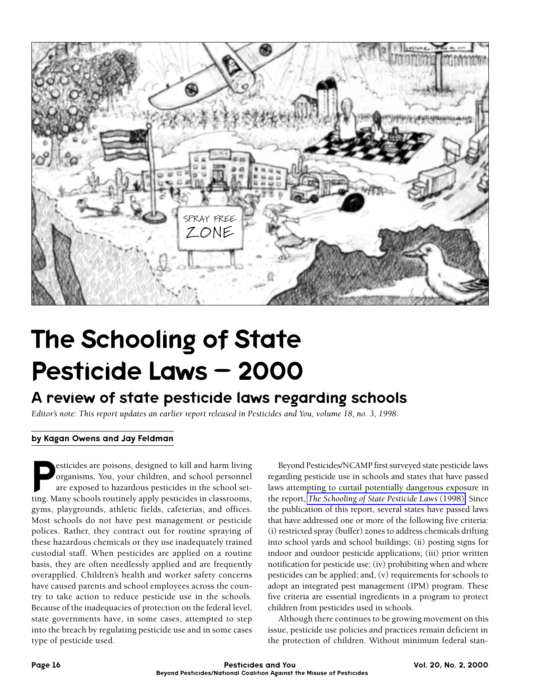

# The Schooling of State Pesticide Laws – 2000

## A review of state pesticide laws regarding schools

*Editor's note: This report updates an earlier report released in Pesticides and You, volume 18, no. 3, 1998.*

#### by Kagan Owens and Jay Feldman

esticides are poisons, designed to kill and harm living<br>organisms. You, your children, and school personnel<br>are exposed to hazardous pesticides in the school set-<br>ting Many schools routinely apply pesticides in classrooms organisms. You, your children, and school personnel are exposed to hazardous pesticides in the school setting. Many schools routinely apply pesticides in classrooms, gyms, playgrounds, athletic fields, cafeterias, and offices. Most schools do not have pest management or pesticide polices. Rather, they contract out for routine spraying of these hazardous chemicals or they use inadequately trained custodial staff. When pesticides are applied on a routine basis, they are often needlessly applied and are frequently overapplied. Children's health and worker safety concerns have caused parents and school employees across the country to take action to reduce pesticide use in the schools. Because of the inadequacies of protection on the federal level, state governments have, in some cases, attempted to step into the breach by regulating pesticide use and in some cases type of pesticide used.

Beyond Pesticides/NCAMP first surveyed state pesticide laws regarding pesticide use in schools and states that have passed laws attempting to curtail potentially dangerous exposure in the report, *[The Schooling of State Pesticide Laws](report.pdf)* (1998). Since the publication of this report, several states have passed laws that have addressed one or more of the following five criteria: (i) restricted spray (buffer) zones to address chemicals drifting into school yards and school buildings; (ii) posting signs for indoor and outdoor pesticide applications; (iii) prior written notification for pesticide use; (iv) prohibiting when and where pesticides can be applied; and, (v) requirements for schools to adopt an integrated pest management (IPM) program. These five criteria are essential ingredients in a program to protect children from pesticides used in schools.

Although there continues to be growing movement on this issue, pesticide use policies and practices remain deficient in the protection of children. Without minimum federal stan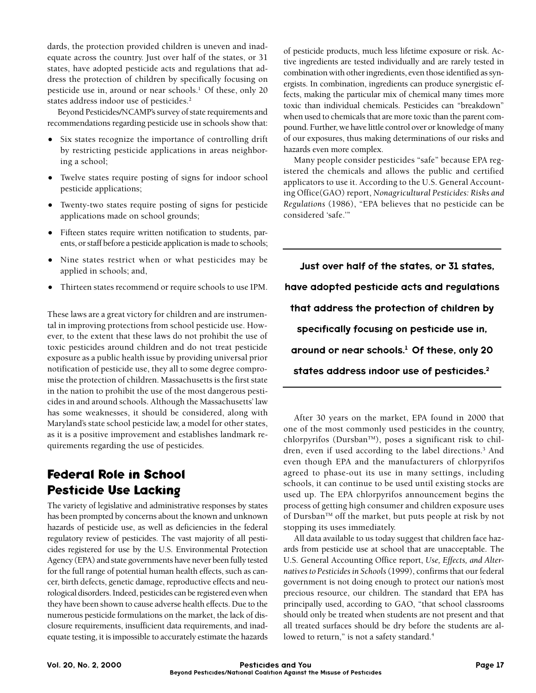dards, the protection provided children is uneven and inadequate across the country. Just over half of the states, or 31 states, have adopted pesticide acts and regulations that address the protection of children by specifically focusing on pesticide use in, around or near schools.<sup>1</sup> Of these, only 20 states address indoor use of pesticides.<sup>2</sup>

Beyond Pesticides/NCAMP's survey of state requirements and recommendations regarding pesticide use in schools show that:

- Six states recognize the importance of controlling drift by restricting pesticide applications in areas neighboring a school;
- Twelve states require posting of signs for indoor school pesticide applications;
- Twenty-two states require posting of signs for pesticide applications made on school grounds;
- Fifteen states require written notification to students, parents, or staff before a pesticide application is made to schools;
- Nine states restrict when or what pesticides may be applied in schools; and,
- Thirteen states recommend or require schools to use IPM.

These laws are a great victory for children and are instrumental in improving protections from school pesticide use. However, to the extent that these laws do not prohibit the use of toxic pesticides around children and do not treat pesticide exposure as a public health issue by providing universal prior notification of pesticide use, they all to some degree compromise the protection of children. Massachusetts is the first state in the nation to prohibit the use of the most dangerous pesticides in and around schools. Although the Massachusetts' law has some weaknesses, it should be considered, along with Maryland's state school pesticide law, a model for other states, as it is a positive improvement and establishes landmark requirements regarding the use of pesticides.

## **Federal Role in School Pesticide Use Lacking**

The variety of legislative and administrative responses by states has been prompted by concerns about the known and unknown hazards of pesticide use, as well as deficiencies in the federal regulatory review of pesticides. The vast majority of all pesticides registered for use by the U.S. Environmental Protection Agency (EPA) and state governments have never been fully tested for the full range of potential human health effects, such as cancer, birth defects, genetic damage, reproductive effects and neurological disorders. Indeed, pesticides can be registered even when they have been shown to cause adverse health effects. Due to the numerous pesticide formulations on the market, the lack of disclosure requirements, insufficient data requirements, and inadequate testing, it is impossible to accurately estimate the hazards of pesticide products, much less lifetime exposure or risk. Active ingredients are tested individually and are rarely tested in combination with other ingredients, even those identified as synergists. In combination, ingredients can produce synergistic effects, making the particular mix of chemical many times more toxic than individual chemicals. Pesticides can "breakdown" when used to chemicals that are more toxic than the parent compound. Further, we have little control over or knowledge of many of our exposures, thus making determinations of our risks and hazards even more complex.

Many people consider pesticides "safe" because EPA registered the chemicals and allows the public and certified applicators to use it. According to the U.S. General Accounting Office(GAO) report, *Nonagricultural Pesticides: Risks and Regulations* (1986), "EPA believes that no pesticide can be considered 'safe.'"

Just over half of the states, or 31 states, have adopted pesticide acts and regulations that address the protection of children by specifically focusing on pesticide use in, around or near schools.<sup>1</sup> Of these, only 20 states address indoor use of pesticides.2

After 30 years on the market, EPA found in 2000 that one of the most commonly used pesticides in the country, chlorpyrifos (Dursban<sup>TM</sup>), poses a significant risk to children, even if used according to the label directions.<sup>3</sup> And even though EPA and the manufacturers of chlorpyrifos agreed to phase-out its use in many settings, including schools, it can continue to be used until existing stocks are used up. The EPA chlorpyrifos announcement begins the process of getting high consumer and children exposure uses of Dursban<sup>TM</sup> off the market, but puts people at risk by not stopping its uses immediately.

All data available to us today suggest that children face hazards from pesticide use at school that are unacceptable. The U.S. General Accounting Office report, *Use, Effects, and Alternatives to Pesticides in Schools* (1999), confirms that our federal government is not doing enough to protect our nation's most precious resource, our children. The standard that EPA has principally used, according to GAO, "that school classrooms should only be treated when students are not present and that all treated surfaces should be dry before the students are allowed to return," is not a safety standard.<sup>4</sup>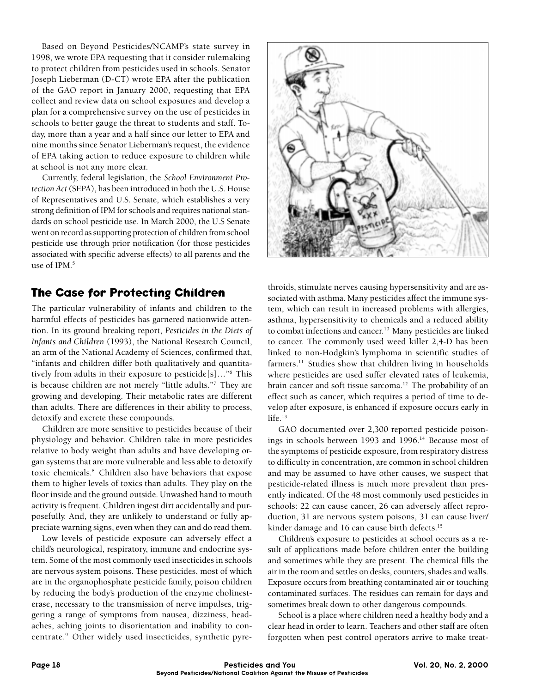Based on Beyond Pesticides/NCAMP's state survey in 1998, we wrote EPA requesting that it consider rulemaking to protect children from pesticides used in schools. Senator Joseph Lieberman (D-CT) wrote EPA after the publication of the GAO report in January 2000, requesting that EPA collect and review data on school exposures and develop a plan for a comprehensive survey on the use of pesticides in schools to better gauge the threat to students and staff. Today, more than a year and a half since our letter to EPA and nine months since Senator Lieberman's request, the evidence of EPA taking action to reduce exposure to children while at school is not any more clear.

Currently, federal legislation, the *School Environment Protection Act* (SEPA), has been introduced in both the U.S. House of Representatives and U.S. Senate, which establishes a very strong definition of IPM for schools and requires national standards on school pesticide use. In March 2000, the U.S Senate went on record as supporting protection of children from school pesticide use through prior notification (for those pesticides associated with specific adverse effects) to all parents and the use of IPM.<sup>5</sup>

### **The Case for Protecting Children**

The particular vulnerability of infants and children to the harmful effects of pesticides has garnered nationwide attention. In its ground breaking report, *Pesticides in the Diets of Infants and Children* (1993), the National Research Council, an arm of the National Academy of Sciences, confirmed that, "infants and children differ both qualitatively and quantitatively from adults in their exposure to pesticide[s]…"6 This is because children are not merely "little adults."7 They are growing and developing. Their metabolic rates are different than adults. There are differences in their ability to process, detoxify and excrete these compounds.

Children are more sensitive to pesticides because of their physiology and behavior. Children take in more pesticides relative to body weight than adults and have developing organ systems that are more vulnerable and less able to detoxify toxic chemicals.8 Children also have behaviors that expose them to higher levels of toxics than adults. They play on the floor inside and the ground outside. Unwashed hand to mouth activity is frequent. Children ingest dirt accidentally and purposefully. And, they are unlikely to understand or fully appreciate warning signs, even when they can and do read them.

Low levels of pesticide exposure can adversely effect a child's neurological, respiratory, immune and endocrine system. Some of the most commonly used insecticides in schools are nervous system poisons. These pesticides, most of which are in the organophosphate pesticide family, poison children by reducing the body's production of the enzyme cholinesterase, necessary to the transmission of nerve impulses, triggering a range of symptoms from nausea, dizziness, headaches, aching joints to disorientation and inability to concentrate.9 Other widely used insecticides, synthetic pyre-



throids, stimulate nerves causing hypersensitivity and are associated with asthma. Many pesticides affect the immune system, which can result in increased problems with allergies, asthma, hypersensitivity to chemicals and a reduced ability to combat infections and cancer.<sup>10</sup> Many pesticides are linked to cancer. The commonly used weed killer 2,4-D has been linked to non-Hodgkin's lymphoma in scientific studies of farmers.<sup>11</sup> Studies show that children living in households where pesticides are used suffer elevated rates of leukemia, brain cancer and soft tissue sarcoma.<sup>12</sup> The probability of an effect such as cancer, which requires a period of time to develop after exposure, is enhanced if exposure occurs early in life. $13$ 

GAO documented over 2,300 reported pesticide poisonings in schools between 1993 and 1996.<sup>14</sup> Because most of the symptoms of pesticide exposure, from respiratory distress to difficulty in concentration, are common in school children and may be assumed to have other causes, we suspect that pesticide-related illness is much more prevalent than presently indicated. Of the 48 most commonly used pesticides in schools: 22 can cause cancer, 26 can adversely affect reproduction, 31 are nervous system poisons, 31 can cause liver/ kinder damage and 16 can cause birth defects.<sup>15</sup>

Children's exposure to pesticides at school occurs as a result of applications made before children enter the building and sometimes while they are present. The chemical fills the air in the room and settles on desks, counters, shades and walls. Exposure occurs from breathing contaminated air or touching contaminated surfaces. The residues can remain for days and sometimes break down to other dangerous compounds.

School is a place where children need a healthy body and a clear head in order to learn. Teachers and other staff are often forgotten when pest control operators arrive to make treat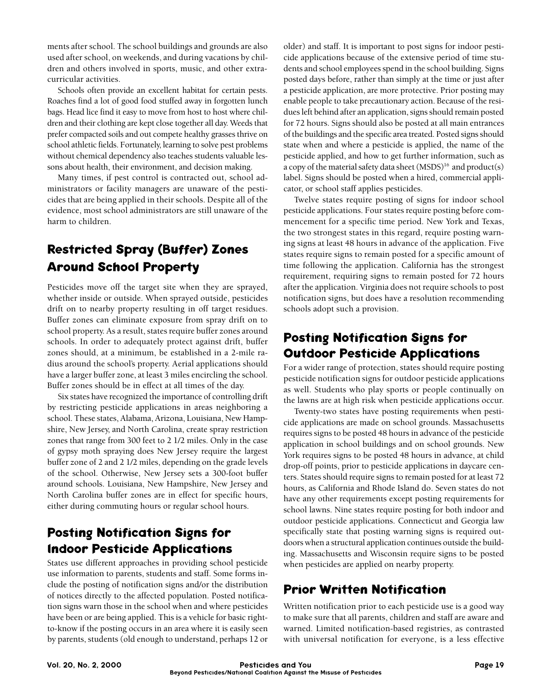ments after school. The school buildings and grounds are also used after school, on weekends, and during vacations by children and others involved in sports, music, and other extracurricular activities.

Schools often provide an excellent habitat for certain pests. Roaches find a lot of good food stuffed away in forgotten lunch bags. Head lice find it easy to move from host to host where children and their clothing are kept close together all day. Weeds that prefer compacted soils and out compete healthy grasses thrive on school athletic fields. Fortunately, learning to solve pest problems without chemical dependency also teaches students valuable lessons about health, their environment, and decision making.

Many times, if pest control is contracted out, school administrators or facility managers are unaware of the pesticides that are being applied in their schools. Despite all of the evidence, most school administrators are still unaware of the harm to children.

# **Restricted Spray (Buffer) Zones Around School Property**

Pesticides move off the target site when they are sprayed, whether inside or outside. When sprayed outside, pesticides drift on to nearby property resulting in off target residues. Buffer zones can eliminate exposure from spray drift on to school property. As a result, states require buffer zones around schools. In order to adequately protect against drift, buffer zones should, at a minimum, be established in a 2-mile radius around the school's property. Aerial applications should have a larger buffer zone, at least 3 miles encircling the school. Buffer zones should be in effect at all times of the day.

Six states have recognized the importance of controlling drift by restricting pesticide applications in areas neighboring a school. These states, Alabama, Arizona, Louisiana, New Hampshire, New Jersey, and North Carolina, create spray restriction zones that range from 300 feet to 2 1/2 miles. Only in the case of gypsy moth spraying does New Jersey require the largest buffer zone of 2 and 2 1/2 miles, depending on the grade levels of the school. Otherwise, New Jersey sets a 300-foot buffer around schools. Louisiana, New Hampshire, New Jersey and North Carolina buffer zones are in effect for specific hours, either during commuting hours or regular school hours.

## **Posting Notification Signs for lndoor Pesticide Applications**

States use different approaches in providing school pesticide use information to parents, students and staff. Some forms include the posting of notification signs and/or the distribution of notices directly to the affected population. Posted notification signs warn those in the school when and where pesticides have been or are being applied. This is a vehicle for basic rightto-know if the posting occurs in an area where it is easily seen by parents, students (old enough to understand, perhaps 12 or

older) and staff. It is important to post signs for indoor pesticide applications because of the extensive period of time students and school employees spend in the school building. Signs posted days before, rather than simply at the time or just after a pesticide application, are more protective. Prior posting may enable people to take precautionary action. Because of the residues left behind after an application, signs should remain posted for 72 hours. Signs should also be posted at all main entrances of the buildings and the specific area treated. Posted signs should state when and where a pesticide is applied, the name of the pesticide applied, and how to get further information, such as a copy of the material safety data sheet  $(MSDS)^{16}$  and product(s) label. Signs should be posted when a hired, commercial applicator, or school staff applies pesticides.

Twelve states require posting of signs for indoor school pesticide applications. Four states require posting before commencement for a specific time period. New York and Texas, the two strongest states in this regard, require posting warning signs at least 48 hours in advance of the application. Five states require signs to remain posted for a specific amount of time following the application. California has the strongest requirement, requiring signs to remain posted for 72 hours after the application. Virginia does not require schools to post notification signs, but does have a resolution recommending schools adopt such a provision.

## **Posting Notification Signs for Outdoor Pesticide Applications**

For a wider range of protection, states should require posting pesticide notification signs for outdoor pesticide applications as well. Students who play sports or people continually on the lawns are at high risk when pesticide applications occur.

Twenty-two states have posting requirements when pesticide applications are made on school grounds. Massachusetts requires signs to be posted 48 hours in advance of the pesticide application in school buildings and on school grounds. New York requires signs to be posted 48 hours in advance, at child drop-off points, prior to pesticide applications in daycare centers. States should require signs to remain posted for at least 72 hours, as California and Rhode Island do. Seven states do not have any other requirements except posting requirements for school lawns. Nine states require posting for both indoor and outdoor pesticide applications. Connecticut and Georgia law specifically state that posting warning signs is required outdoors when a structural application continues outside the building. Massachusetts and Wisconsin require signs to be posted when pesticides are applied on nearby property.

## **Prior Written Notification**

Written notification prior to each pesticide use is a good way to make sure that all parents, children and staff are aware and warned. Limited notification-based registries, as contrasted with universal notification for everyone, is a less effective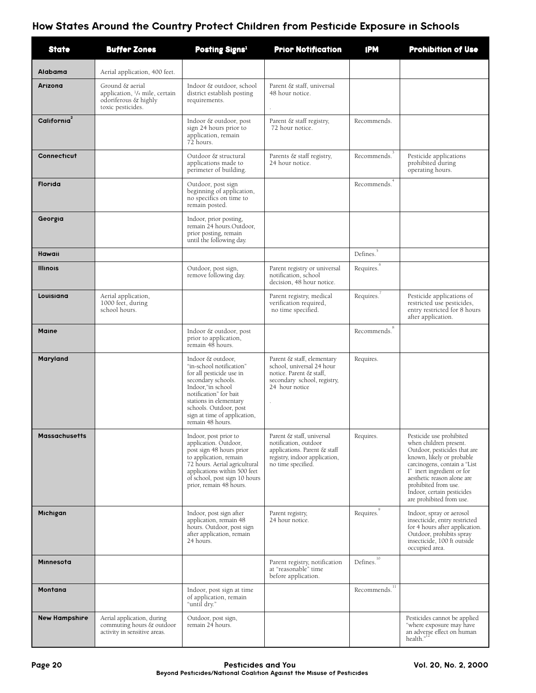### How States Around the Country Protect Children from Pesticide Exposure in Schools

| <b>State</b>            | <b>Buffer Zones</b>                                                                            | Posting Signs <sup>1</sup>                                                                                                                                                                                                                              | <b>Prior Notification</b>                                                                                                                      | <b>IPM</b>                                      | <b>Prohibition of Use</b>                                                                                                                                                                                                                                                                     |
|-------------------------|------------------------------------------------------------------------------------------------|---------------------------------------------------------------------------------------------------------------------------------------------------------------------------------------------------------------------------------------------------------|------------------------------------------------------------------------------------------------------------------------------------------------|-------------------------------------------------|-----------------------------------------------------------------------------------------------------------------------------------------------------------------------------------------------------------------------------------------------------------------------------------------------|
| Alabama                 | Aerial application, 400 feet.                                                                  |                                                                                                                                                                                                                                                         |                                                                                                                                                |                                                 |                                                                                                                                                                                                                                                                                               |
| Arizona                 | Ground & aerial<br>application, 1/4 mile, certain<br>odoriferous & highly<br>toxic pesticides. | Indoor & outdoor, school<br>district establish posting<br>requirements.                                                                                                                                                                                 | Parent & staff, universal<br>48 hour notice.                                                                                                   |                                                 |                                                                                                                                                                                                                                                                                               |
| California <sup>2</sup> |                                                                                                | Indoor & outdoor, post<br>sign 24 hours prior to<br>application, remain<br>72 hours.                                                                                                                                                                    | Parent & staff registry,<br>72 hour notice.                                                                                                    | Recommends.                                     |                                                                                                                                                                                                                                                                                               |
| Connecticut             |                                                                                                | Outdoor & structural<br>applications made to<br>perimeter of building.                                                                                                                                                                                  | Parents & staff registry,<br>24 hour notice.                                                                                                   | Recommends. <sup>3</sup>                        | Pesticide applications<br>prohibited during<br>operating hours.                                                                                                                                                                                                                               |
| <b>Florida</b>          |                                                                                                | Outdoor, post sign<br>beginning of application,<br>no specifics on time to<br>remain posted.                                                                                                                                                            |                                                                                                                                                | Recommends. <sup>4</sup>                        |                                                                                                                                                                                                                                                                                               |
| Georgia                 |                                                                                                | Indoor, prior posting,<br>remain 24 hours.Outdoor,<br>prior posting, remain<br>until the following day.                                                                                                                                                 |                                                                                                                                                |                                                 |                                                                                                                                                                                                                                                                                               |
| Hawaii                  |                                                                                                |                                                                                                                                                                                                                                                         |                                                                                                                                                | Defines. <sup>5</sup>                           |                                                                                                                                                                                                                                                                                               |
| <b>Illinois</b>         |                                                                                                | Outdoor, post sign,<br>remove following day.                                                                                                                                                                                                            | Parent registry or universal<br>notification, school<br>decision, 48 hour notice.                                                              | Requires. <sup>6</sup>                          |                                                                                                                                                                                                                                                                                               |
| Louisiana               | Aerial application,<br>1000 feet, during<br>school hours.                                      |                                                                                                                                                                                                                                                         | Parent registry, medical<br>verification required,<br>no time specified.                                                                       | Requires. <sup>7</sup>                          | Pesticide applications of<br>restricted use pesticides,<br>entry restricted for 8 hours<br>after application.                                                                                                                                                                                 |
| <b>Maine</b>            |                                                                                                | Indoor & outdoor, post<br>prior to application,<br>remain 48 hours.                                                                                                                                                                                     |                                                                                                                                                | $\mbox{Recommends.}^8$                          |                                                                                                                                                                                                                                                                                               |
| Maryland                |                                                                                                | Indoor & outdoor,<br>"in-school notification"<br>for all pesticide use in<br>secondary schools.<br>Indoor, "in school<br>notification" for bait<br>stations in elementary<br>schools. Outdoor, post<br>sign at time of application,<br>remain 48 hours. | Parent & staff, elementary<br>school, universal 24 hour<br>notice. Parent & staff,<br>secondary school, registry,<br>24 hour notice<br>$\cdot$ | Requires.                                       |                                                                                                                                                                                                                                                                                               |
| <b>Massachusetts</b>    |                                                                                                | Indoor, post prior to<br>application. Outdoor,<br>post sign 48 hours prior<br>to application, remain<br>72 hours. Aerial agricultural<br>applications within 500 feet<br>of school, post sign 10 hours<br>prior, remain 48 hours.                       | Parent & staff, universal<br>notification, outdoor<br>applications. Parent & staff<br>registry, indoor application,<br>no time specified.      | Requires.                                       | Pesticide use prohibited<br>when children present.<br>Outdoor, pesticides that are<br>known, likely or probable<br>carcinogens, contain a "List<br>I" inert ingredient or for<br>aesthetic reason alone are<br>prohibited from use.<br>Indoor, certain pesticides<br>are prohibited from use. |
| Michigan                |                                                                                                | Indoor, post sign after<br>application, remain 48<br>hours. Outdoor, post sign<br>after application, remain<br>24 hours.                                                                                                                                | Parent registry,<br>24 hour notice.                                                                                                            | Requires. <sup>9</sup>                          | Indoor, spray or aerosol<br>insecticide, entry restricted<br>for 4 hours after application.<br>Outdoor, prohibits spray<br>insecticide, 100 ft outside<br>occupied area.                                                                                                                      |
| Minnesota               |                                                                                                |                                                                                                                                                                                                                                                         | Parent registry, notification<br>at "reasonable" time<br>before application.                                                                   | 10<br>Defines.                                  |                                                                                                                                                                                                                                                                                               |
| Montana                 |                                                                                                | Indoor, post sign at time<br>of application, remain<br>"until dry."                                                                                                                                                                                     |                                                                                                                                                | $\overline{\text{Recommends.}}^{\overline{11}}$ |                                                                                                                                                                                                                                                                                               |
| <b>New Hampshire</b>    | Aerial application, during<br>commuting hours & outdoor<br>activity in sensitive areas.        | Outdoor, post sign,<br>remain 24 hours.                                                                                                                                                                                                                 |                                                                                                                                                |                                                 | Pesticides cannot be applied<br>"where exposure may have<br>an adverse effect on human<br>health.                                                                                                                                                                                             |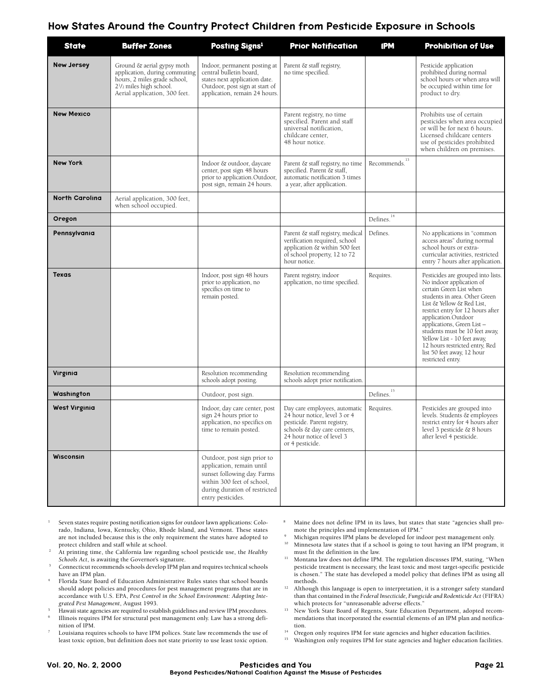#### How States Around the Country Protect Children from Pesticide Exposure in Schools

| <b>State</b>          | <b>Buffer Zones</b>                                                                                                                                                              | Posting Signs <sup>1</sup>                                                                                                                                                  | <b>Prior Notification</b>                                                                                                                                                   | <b>IPM</b>                | <b>Prohibition of Use</b>                                                                                                                                                                                                                                                                                                                                                                              |
|-----------------------|----------------------------------------------------------------------------------------------------------------------------------------------------------------------------------|-----------------------------------------------------------------------------------------------------------------------------------------------------------------------------|-----------------------------------------------------------------------------------------------------------------------------------------------------------------------------|---------------------------|--------------------------------------------------------------------------------------------------------------------------------------------------------------------------------------------------------------------------------------------------------------------------------------------------------------------------------------------------------------------------------------------------------|
| <b>New Jersey</b>     | Ground & aerial gypsy moth<br>application, during commuting<br>hours, 2 miles grade school,<br>2 <sup>1</sup> / <sub>2</sub> miles high school.<br>Aerial application, 300 feet. | Indoor, permanent posting at<br>central bulletin board,<br>states next application date.<br>Outdoor, post sign at start of<br>application, remain 24 hours.                 | Parent & staff registry,<br>no time specified.                                                                                                                              |                           | Pesticide application<br>prohibited during normal<br>school hours or when area will<br>be occupied within time for<br>product to dry.                                                                                                                                                                                                                                                                  |
| <b>New Mexico</b>     |                                                                                                                                                                                  |                                                                                                                                                                             | Parent registry, no time<br>specified. Parent and staff<br>universal notification,<br>childcare center,<br>48 hour notice.                                                  |                           | Prohibits use of certain<br>pesticides when area occupied<br>or will be for next 6 hours.<br>Licensed childcare centers<br>use of pesticides prohibited<br>when children on premises.                                                                                                                                                                                                                  |
| <b>New York</b>       |                                                                                                                                                                                  | Indoor & outdoor, daycare<br>center, post sign 48 hours<br>prior to application.Outdoor,<br>post sign, remain 24 hours.                                                     | Parent & staff registry, no time<br>specified. Parent & staff,<br>automatic notification 3 times<br>a year, after application.                                              | Recommends. <sup>13</sup> |                                                                                                                                                                                                                                                                                                                                                                                                        |
| <b>North Carolina</b> | Aerial application, 300 feet,<br>when school occupied.                                                                                                                           |                                                                                                                                                                             |                                                                                                                                                                             |                           |                                                                                                                                                                                                                                                                                                                                                                                                        |
| Oregon                |                                                                                                                                                                                  |                                                                                                                                                                             |                                                                                                                                                                             | 14<br>Defines.            |                                                                                                                                                                                                                                                                                                                                                                                                        |
| Pennsylvania          |                                                                                                                                                                                  |                                                                                                                                                                             | Parent & staff registry, medical<br>verification required, school<br>application & within 500 feet<br>of school property, 12 to 72<br>hour notice.                          | Defines.                  | No applications in "common<br>access areas" during normal<br>school hours or extra-<br>curricular activities, restricted<br>entry 7 hours after application.                                                                                                                                                                                                                                           |
| <b>Texas</b>          |                                                                                                                                                                                  | Indoor, post sign 48 hours<br>prior to application, no<br>specifics on time to<br>remain posted.                                                                            | Parent registry, indoor<br>application, no time specified.                                                                                                                  | Requires.                 | Pesticides are grouped into lists.<br>No indoor application of<br>certain Green List when<br>students in area. Other Green<br>List & Yellow & Red List,<br>restrict entry for 12 hours after<br>application.Outdoor<br>applications, Green List-<br>students must be 10 feet away.<br>Yellow List - 10 feet away,<br>12 hours restricted entry, Red<br>list 50 feet away, 12 hour<br>restricted entry. |
| Virginia              |                                                                                                                                                                                  | Resolution recommending<br>schools adopt posting.                                                                                                                           | Resolution recommending<br>schools adopt prior notification.                                                                                                                |                           |                                                                                                                                                                                                                                                                                                                                                                                                        |
| Washington            |                                                                                                                                                                                  | Outdoor, post sign.                                                                                                                                                         |                                                                                                                                                                             | $\mbox{Defines.}^{^{15}}$ |                                                                                                                                                                                                                                                                                                                                                                                                        |
| <b>West Virginia</b>  |                                                                                                                                                                                  | Indoor, day care center, post<br>sign 24 hours prior to<br>application, no specifics on<br>time to remain posted.                                                           | Day care employees, automatic<br>24 hour notice, level 3 or 4<br>pesticide. Parent registry,<br>schools & day care centers,<br>24 hour notice of level 3<br>or 4 pesticide. | Requires.                 | Pesticides are grouped into<br>levels. Students & employees<br>restrict entry for 4 hours after<br>level 3 pesticide & 8 hours<br>after level 4 pesticide.                                                                                                                                                                                                                                             |
| <b>Wisconsin</b>      |                                                                                                                                                                                  | Outdoor, post sign prior to<br>application, remain until<br>sunset following day. Farms<br>within 300 feet of school,<br>during duration of restricted<br>entry pesticides. |                                                                                                                                                                             |                           |                                                                                                                                                                                                                                                                                                                                                                                                        |

- <sup>1</sup> Seven states require posting notification signs for outdoor lawn applications: Colorado, Indiana, Iowa, Kentucky, Ohio, Rhode Island, and Vermont. These states are not included because this is the only requirement the states have adopted to protect children and staff while at school.
- <sup>2</sup> At printing time, the California law regarding school pesticide use, the *Healthy Schools Act*, is awaiting the Governor's signature.
- $\mbox{Connecticut recommends schools develop IPM plan and requires technical schools}$ have an IPM plan.
- <sup>4</sup> Florida State Board of Education Administrative Rules states that school boards should adopt policies and procedures for pest management programs that are in accordance with U.S. EPA, *Pest Control in the School Environment: Adopting Integrated Pest Management*, August 1993.
- Hawaii state agencies are required to establish guidelines and review IPM procedures.
- Illinois requires IPM for structural pest management only. Law has a strong definition of IPM.
- Louisiana requires schools to have IPM polices. State law recommends the use of least toxic option, but definition does not state priority to use least toxic option.
- Maine does not define IPM in its laws, but states that state "agencies shall promote the principles and implementation of IPM."
- <sup>9</sup> Michigan requires IPM plans be developed for indoor pest management only.
- <sup>10</sup> Minnesota law states that if a school is going to tout having an IPM program, it must fit the definition in the law.
- $^{11}\,\,$  Montana law does not define IPM. The regulation discusses IPM, stating, "When pesticide treatment is necessary, the least toxic and most target-specific pesticide is chosen." The state has developed a model policy that defines IPM as using all methods.
- $^{12}$  Although this language is open to interpretation, it is a stronger safety standard than that contained in the *Federal Insecticide, Fungicide and Rodenticide Act* (FIFRA) which protects for "unreasonable adverse effects."
- <sup>13</sup> New York State Board of Regents, State Education Department, adopted recommendations that incorporated the essential elements of an IPM plan and notification.
- <sup>14</sup> Oregon only requires IPM for state agencies and higher education facilities.<br><sup>15</sup> Washington only requires IPM for state agencies and higher education facil
- Washington only requires IPM for state agencies and higher education facilities.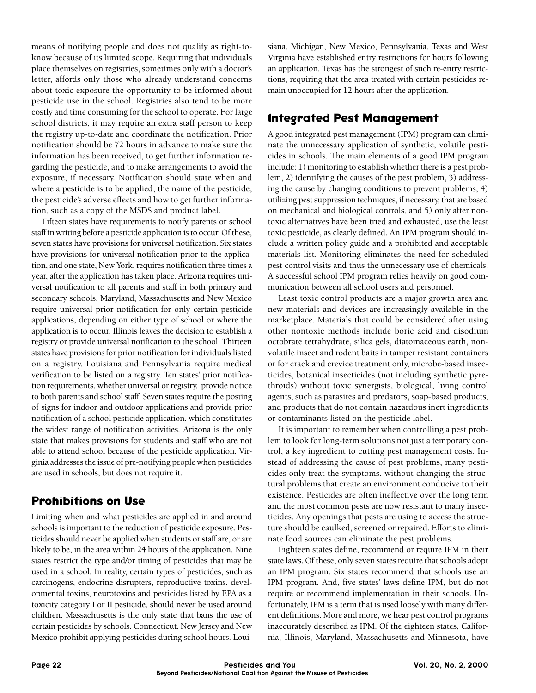means of notifying people and does not qualify as right-toknow because of its limited scope. Requiring that individuals place themselves on registries, sometimes only with a doctor's letter, affords only those who already understand concerns about toxic exposure the opportunity to be informed about pesticide use in the school. Registries also tend to be more costly and time consuming for the school to operate. For large school districts, it may require an extra staff person to keep the registry up-to-date and coordinate the notification. Prior notification should be 72 hours in advance to make sure the information has been received, to get further information regarding the pesticide, and to make arrangements to avoid the exposure, if necessary. Notification should state when and where a pesticide is to be applied, the name of the pesticide, the pesticide's adverse effects and how to get further information, such as a copy of the MSDS and product label.

Fifteen states have requirements to notify parents or school staff in writing before a pesticide application is to occur. Of these, seven states have provisions for universal notification. Six states have provisions for universal notification prior to the application, and one state, New York, requires notification three times a year, after the application has taken place. Arizona requires universal notification to all parents and staff in both primary and secondary schools. Maryland, Massachusetts and New Mexico require universal prior notification for only certain pesticide applications, depending on either type of school or where the application is to occur. Illinois leaves the decision to establish a registry or provide universal notification to the school. Thirteen states have provisions for prior notification for individuals listed on a registry. Louisiana and Pennsylvania require medical verification to be listed on a registry. Ten states' prior notification requirements, whether universal or registry, provide notice to both parents and school staff. Seven states require the posting of signs for indoor and outdoor applications and provide prior notification of a school pesticide application, which constitutes the widest range of notification activities. Arizona is the only state that makes provisions for students and staff who are not able to attend school because of the pesticide application. Virginia addresses the issue of pre-notifying people when pesticides are used in schools, but does not require it.

#### **Prohibitions on Use**

Limiting when and what pesticides are applied in and around schools is important to the reduction of pesticide exposure. Pesticides should never be applied when students or staff are, or are likely to be, in the area within 24 hours of the application. Nine states restrict the type and/or timing of pesticides that may be used in a school. In reality, certain types of pesticides, such as carcinogens, endocrine disrupters, reproductive toxins, developmental toxins, neurotoxins and pesticides listed by EPA as a toxicity category I or II pesticide, should never be used around children. Massachusetts is the only state that bans the use of certain pesticides by schools. Connecticut, New Jersey and New Mexico prohibit applying pesticides during school hours. Louisiana, Michigan, New Mexico, Pennsylvania, Texas and West Virginia have established entry restrictions for hours following an application. Texas has the strongest of such re-entry restrictions, requiring that the area treated with certain pesticides remain unoccupied for 12 hours after the application.

## **lntegrated Pest Management**

A good integrated pest management (IPM) program can eliminate the unnecessary application of synthetic, volatile pesticides in schools. The main elements of a good IPM program include: 1) monitoring to establish whether there is a pest problem, 2) identifying the causes of the pest problem, 3) addressing the cause by changing conditions to prevent problems, 4) utilizing pest suppression techniques, if necessary, that are based on mechanical and biological controls, and 5) only after nontoxic alternatives have been tried and exhausted, use the least toxic pesticide, as clearly defined. An IPM program should include a written policy guide and a prohibited and acceptable materials list. Monitoring eliminates the need for scheduled pest control visits and thus the unnecessary use of chemicals. A successful school IPM program relies heavily on good communication between all school users and personnel.

Least toxic control products are a major growth area and new materials and devices are increasingly available in the marketplace. Materials that could be considered after using other nontoxic methods include boric acid and disodium octobrate tetrahydrate, silica gels, diatomaceous earth, nonvolatile insect and rodent baits in tamper resistant containers or for crack and crevice treatment only, microbe-based insecticides, botanical insecticides (not including synthetic pyrethroids) without toxic synergists, biological, living control agents, such as parasites and predators, soap-based products, and products that do not contain hazardous inert ingredients or contaminants listed on the pesticide label.

It is important to remember when controlling a pest problem to look for long-term solutions not just a temporary control, a key ingredient to cutting pest management costs. Instead of addressing the cause of pest problems, many pesticides only treat the symptoms, without changing the structural problems that create an environment conducive to their existence. Pesticides are often ineffective over the long term and the most common pests are now resistant to many insecticides. Any openings that pests are using to access the structure should be caulked, screened or repaired. Efforts to eliminate food sources can eliminate the pest problems.

Eighteen states define, recommend or require IPM in their state laws. Of these, only seven states require that schools adopt an IPM program. Six states recommend that schools use an IPM program. And, five states' laws define IPM, but do not require or recommend implementation in their schools. Unfortunately, IPM is a term that is used loosely with many different definitions. More and more, we hear pest control programs inaccurately described as IPM. Of the eighteen states, California, Illinois, Maryland, Massachusetts and Minnesota, have